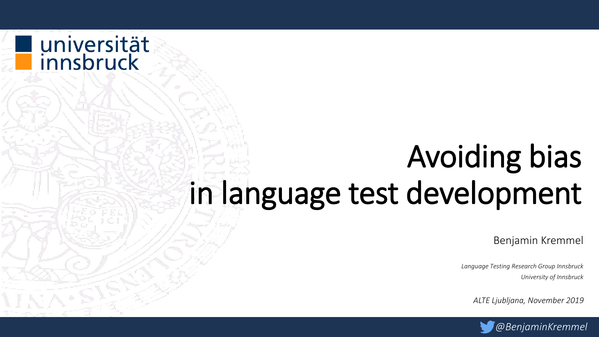# Avoiding bias in language test development

universität<br>innsbruck

Benjamin Kremmel

*Language Testing Research Group Innsbruck University of Innsbruck*

*ALTE Ljubljana, November 2019*

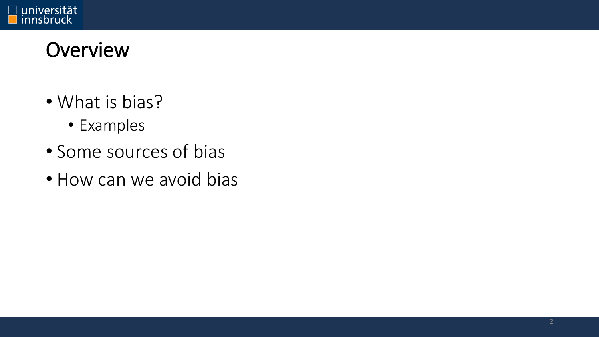

#### **Overview**

- What is bias?
	- Examples
- Some sources of bias
- How can we avoid bias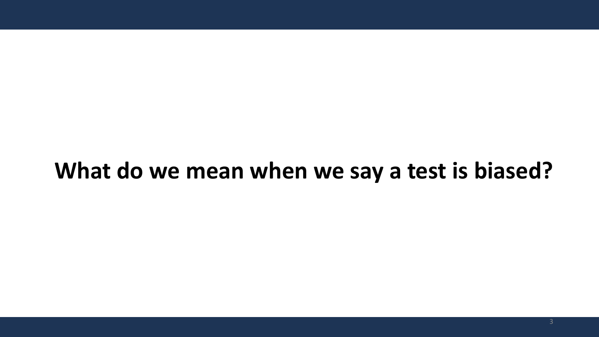#### **What do we mean when we say a test is biased?**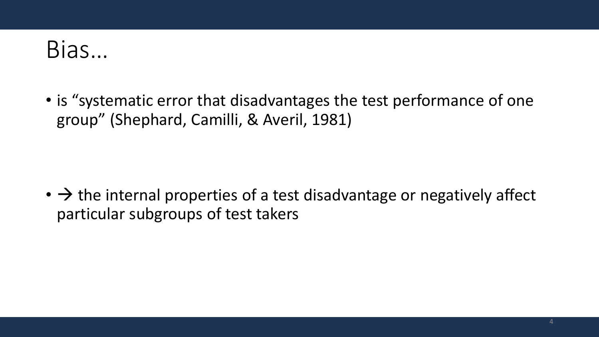### Bias…

• is "systematic error that disadvantages the test performance of one group" (Shephard, Camilli, & Averil, 1981)

 $\cdot \rightarrow$  the internal properties of a test disadvantage or negatively affect particular subgroups of test takers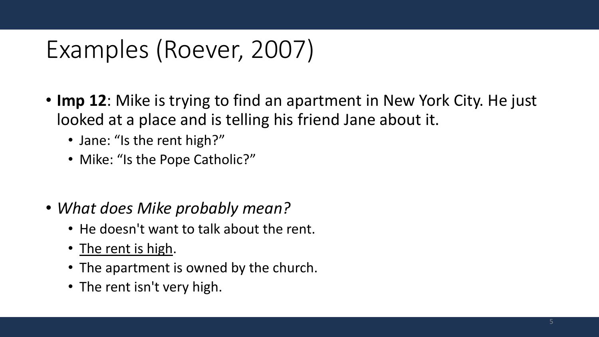### Examples (Roever, 2007)

- **Imp 12**: Mike is trying to find an apartment in New York City. He just looked at a place and is telling his friend Jane about it.
	- Jane: "Is the rent high?"
	- Mike: "Is the Pope Catholic?"
- *What does Mike probably mean?*
	- He doesn't want to talk about the rent.
	- The rent is high.
	- The apartment is owned by the church.
	- The rent isn't very high.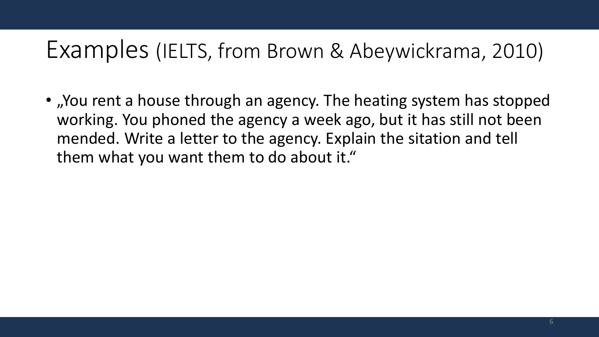#### Examples (IELTS, from Brown & Abeywickrama, 2010)

• "You rent a house through an agency. The heating system has stopped working. You phoned the agency a week ago, but it has still not been mended. Write a letter to the agency. Explain the sitation and tell them what you want them to do about it."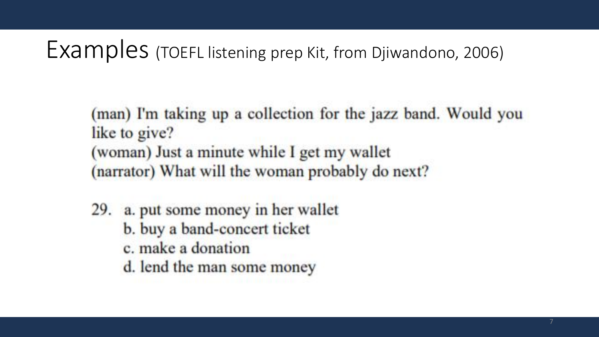#### Examples (TOEFL listening prep Kit, from Djiwandono, 2006)

(man) I'm taking up a collection for the jazz band. Would you like to give? (woman) Just a minute while I get my wallet (narrator) What will the woman probably do next?

- 29. a. put some money in her wallet
	- b. buy a band-concert ticket
	- c. make a donation
	- d. lend the man some money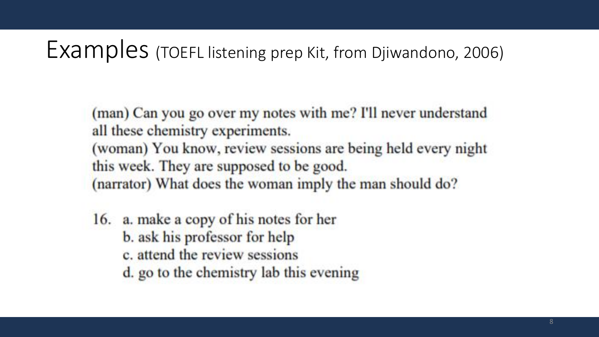#### Examples (TOEFL listening prep Kit, from Djiwandono, 2006)

(man) Can you go over my notes with me? I'll never understand all these chemistry experiments.

(woman) You know, review sessions are being held every night this week. They are supposed to be good. (narrator) What does the woman imply the man should do?

16. a. make a copy of his notes for her b. ask his professor for help c. attend the review sessions d. go to the chemistry lab this evening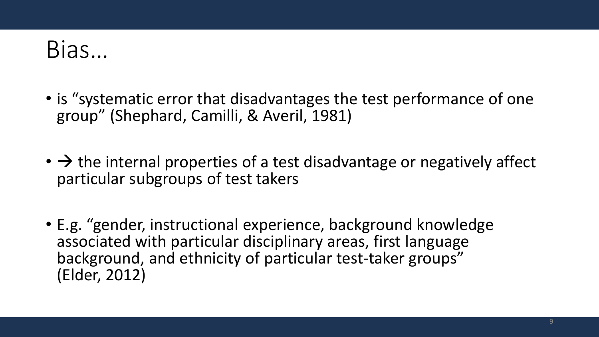### Bias…

- is "systematic error that disadvantages the test performance of one group" (Shephard, Camilli, & Averil, 1981)
- $\rightarrow$  the internal properties of a test disadvantage or negatively affect particular subgroups of test takers
- E.g. "gender, instructional experience, background knowledge associated with particular disciplinary areas, first language background, and ethnicity of particular test-taker groups" (Elder, 2012)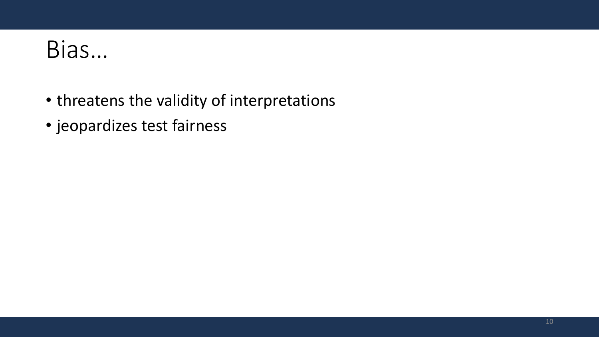### Bias…

- threatens the validity of interpretations
- jeopardizes test fairness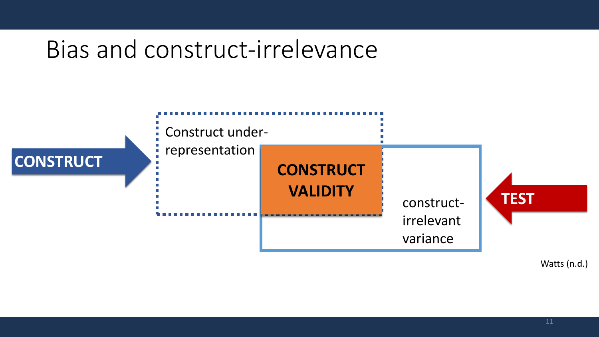#### Bias and construct-irrelevance



Watts (n.d.)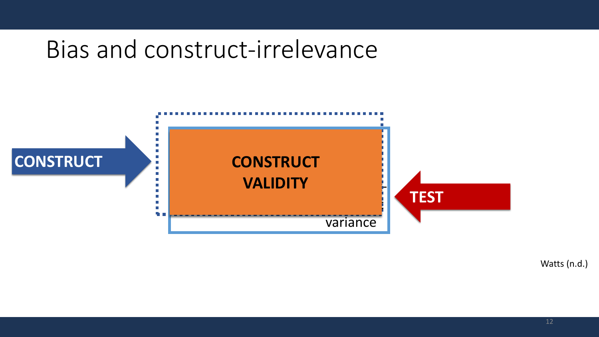#### Bias and construct-irrelevance



Watts (n.d.)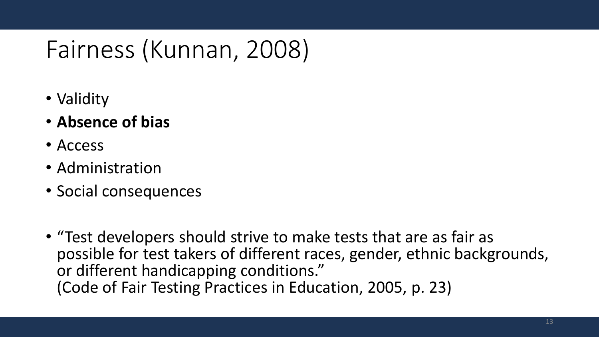### Fairness (Kunnan, 2008)

- Validity
- **Absence of bias**
- Access
- Administration
- Social consequences
- "Test developers should strive to make tests that are as fair as possible for test takers of different races, gender, ethnic backgrounds, or different handicapping conditions." (Code of Fair Testing Practices in Education, 2005, p. 23)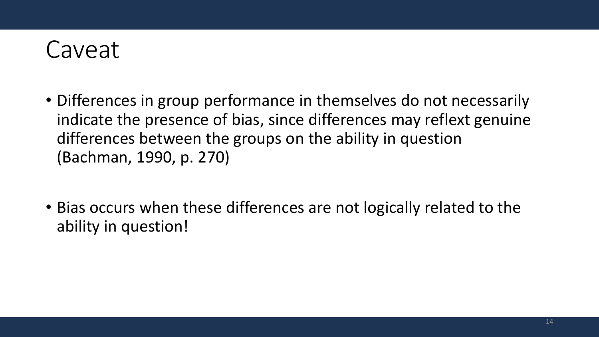

- Differences in group performance in themselves do not necessarily indicate the presence of bias, since differences may reflext genuine differences between the groups on the ability in question (Bachman, 1990, p. 270)
- Bias occurs when these differences are not logically related to the ability in question!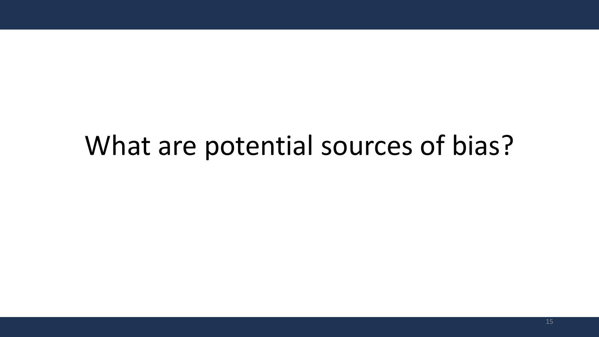## What are potential sources of bias?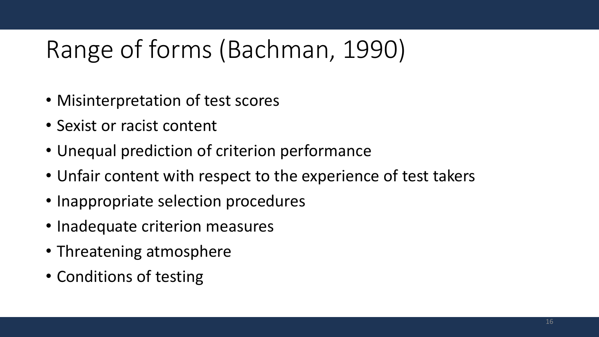## Range of forms (Bachman, 1990)

- Misinterpretation of test scores
- Sexist or racist content
- Unequal prediction of criterion performance
- Unfair content with respect to the experience of test takers
- Inappropriate selection procedures
- Inadequate criterion measures
- Threatening atmosphere
- Conditions of testing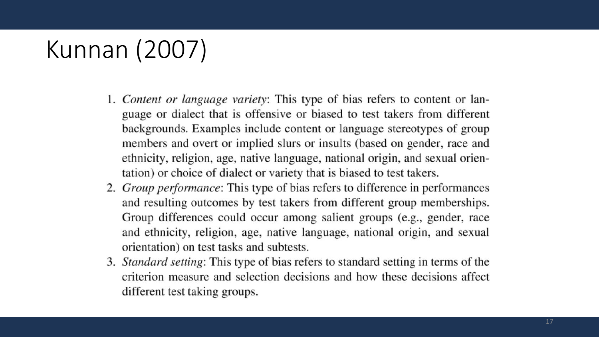### Kunnan (2007)

- 1. Content or language variety: This type of bias refers to content or language or dialect that is offensive or biased to test takers from different backgrounds. Examples include content or language stereotypes of group members and overt or implied slurs or insults (based on gender, race and ethnicity, religion, age, native language, national origin, and sexual orientation) or choice of dialect or variety that is biased to test takers.
- 2. Group performance: This type of bias refers to difference in performances and resulting outcomes by test takers from different group memberships. Group differences could occur among salient groups (e.g., gender, race and ethnicity, religion, age, native language, national origin, and sexual orientation) on test tasks and subtests.
- 3. Standard setting: This type of bias refers to standard setting in terms of the criterion measure and selection decisions and how these decisions affect different test taking groups.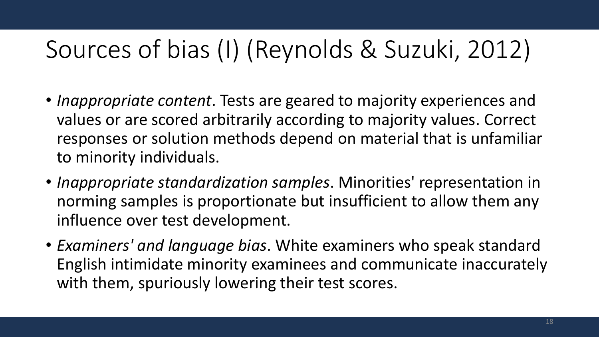### Sources of bias (I) (Reynolds & Suzuki, 2012)

- *Inappropriate content*. Tests are geared to majority experiences and values or are scored arbitrarily according to majority values. Correct responses or solution methods depend on material that is unfamiliar to minority individuals.
- *Inappropriate standardization samples*. Minorities' representation in norming samples is proportionate but insufficient to allow them any influence over test development.
- *Examiners' and language bias*. White examiners who speak standard English intimidate minority examinees and communicate inaccurately with them, spuriously lowering their test scores.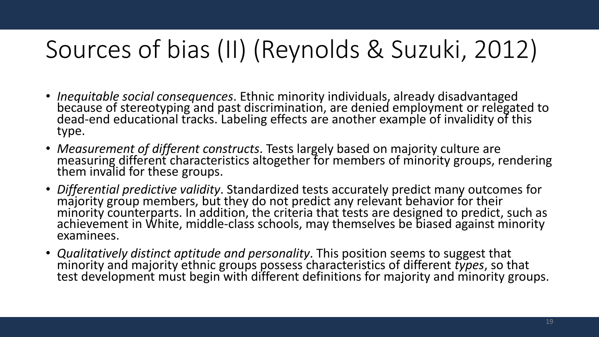## Sources of bias (II) (Reynolds & Suzuki, 2012)

- *Inequitable social consequences*. Ethnic minority individuals, already disadvantaged because of stereotyping and past discrimination, are denied employment or relegated to dead‐end educational tracks. Labeling effects are another example of invalidity of this type.
- *Measurement of different constructs*. Tests largely based on majority culture are measuring different characteristics altogether for members of minority groups, rendering them invalid for these groups.
- *Differential predictive validity*. Standardized tests accurately predict many outcomes for majority group members, but they do not predict any relevant behavior for their minority counterparts. In addition, the criteria that tests are designed to predict, such as achievement in White, middle‐class schools, may themselves be biased against minority examinees.
- *Qualitatively distinct aptitude and personality*. This position seems to suggest that minority and majority ethnic groups possess characteristics of different *types*, so that test development must begin with different definitions for majority and minority groups.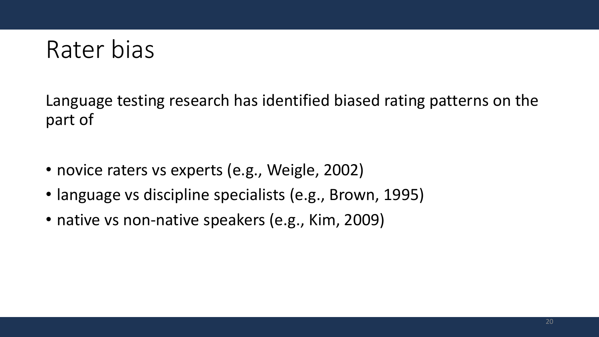

Language testing research has identified biased rating patterns on the part of

- novice raters vs experts (e.g., Weigle, 2002)
- language vs discipline specialists (e.g., Brown, 1995)
- native vs non-native speakers (e.g., Kim, 2009)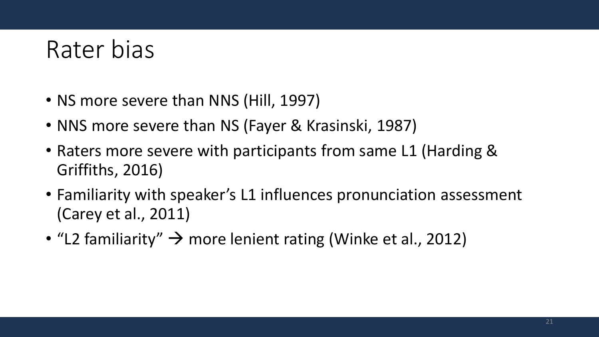### Rater bias

- NS more severe than NNS (Hill, 1997)
- NNS more severe than NS (Fayer & Krasinski, 1987)
- Raters more severe with participants from same L1 (Harding & Griffiths, 2016)
- Familiarity with speaker's L1 influences pronunciation assessment (Carey et al., 2011)
- "L2 familiarity"  $\rightarrow$  more lenient rating (Winke et al., 2012)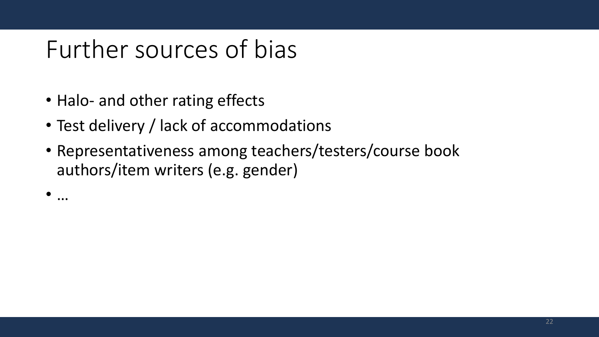### Further sources of bias

- Halo- and other rating effects
- Test delivery / lack of accommodations
- Representativeness among teachers/testers/course book authors/item writers (e.g. gender)

• …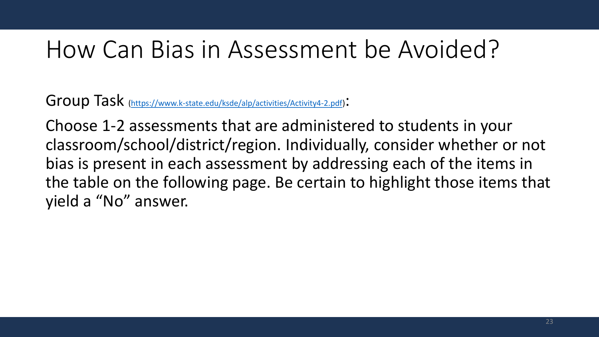### How Can Bias in Assessment be Avoided?

Group Task ([https://www.k-state.edu/ksde/alp/activities/Activity4-2.pdf\)](https://www.k-state.edu/ksde/alp/activities/Activity4-2.pdf):

Choose 1-2 assessments that are administered to students in your classroom/school/district/region. Individually, consider whether or not bias is present in each assessment by addressing each of the items in the table on the following page. Be certain to highlight those items that yield a "No" answer.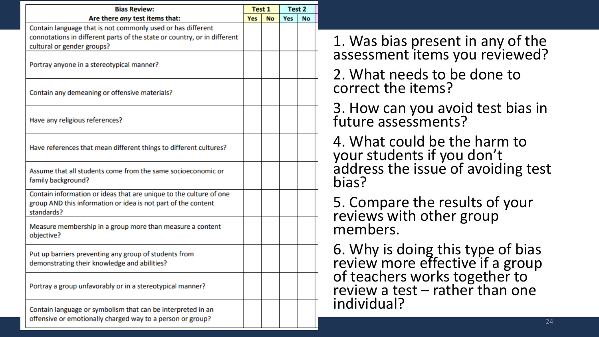| <b>Bias Review:</b>                                                                                                                                                   | Test 1     |           | Test 2 |    |
|-----------------------------------------------------------------------------------------------------------------------------------------------------------------------|------------|-----------|--------|----|
| Are there any test items that:                                                                                                                                        | <b>Yes</b> | <b>No</b> | Yes    | No |
| Contain language that is not commonly used or has different<br>connotations in different parts of the state or country, or in different<br>cultural or gender groups? |            |           |        |    |
| Portray anyone in a stereotypical manner?                                                                                                                             |            |           |        |    |
| Contain any demeaning or offensive materials?                                                                                                                         |            |           |        |    |
| Have any religious references?                                                                                                                                        |            |           |        |    |
| Have references that mean different things to different cultures?                                                                                                     |            |           |        |    |
| Assume that all students come from the same socioeconomic or<br>family background?                                                                                    |            |           |        |    |
| Contain information or ideas that are unique to the culture of one<br>group AND this information or idea is not part of the content<br>standards?                     |            |           |        |    |
| Measure membership in a group more than measure a content<br>objective?                                                                                               |            |           |        |    |
| Put up barriers preventing any group of students from<br>demonstrating their knowledge and abilities?                                                                 |            |           |        |    |
| Portray a group unfavorably or in a stereotypical manner?                                                                                                             |            |           |        |    |
| Contain language or symbolism that can be interpreted in an<br>offensive or emotionally charged way to a person or group?                                             |            |           |        |    |

1. Was bias present in any of the assessment items you reviewed?

2. What needs to be done to correct the items?

3. How can you avoid test bias in future assessments?

4. What could be the harm to your students if you don't address the issue of avoiding test bias?

5. Compare the results of your reviews with other group members.

6. Why is doing this type of bias review more effective if a group of teachers works together to review a test – rather than one individual?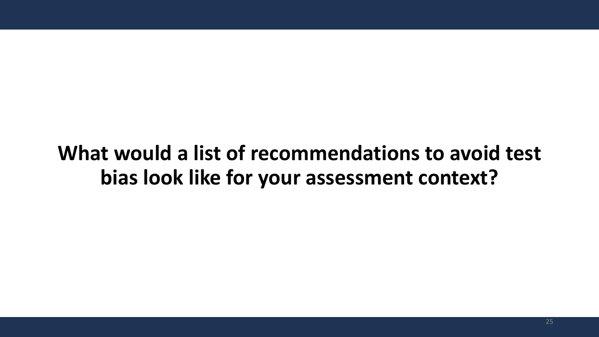#### **What would a list of recommendations to avoid test bias look like for your assessment context?**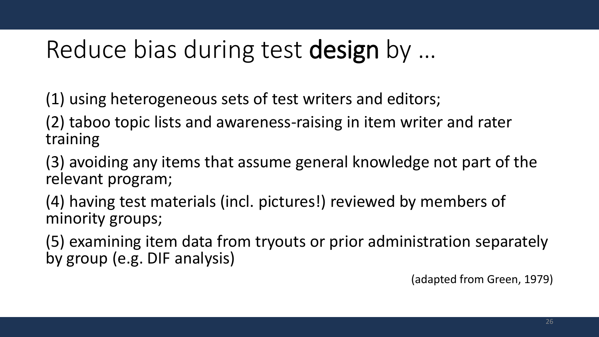### Reduce bias during test design by …

(1) using heterogeneous sets of test writers and editors;

(2) taboo topic lists and awareness-raising in item writer and rater training

(3) avoiding any items that assume general knowledge not part of the relevant program;

(4) having test materials (incl. pictures!) reviewed by members of minority groups;

(5) examining item data from tryouts or prior administration separately by group (e.g. DIF analysis)

(adapted from Green, 1979)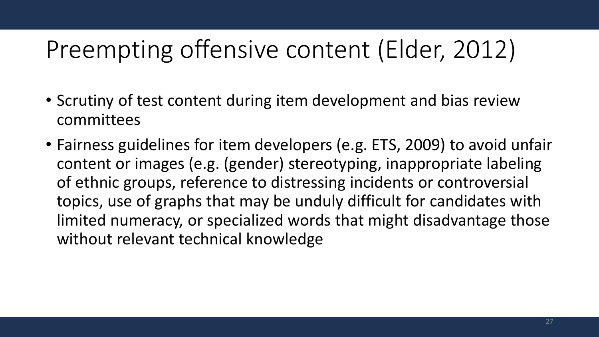### Preempting offensive content (Elder, 2012)

- Scrutiny of test content during item development and bias review committees
- Fairness guidelines for item developers (e.g. ETS, 2009) to avoid unfair content or images (e.g. (gender) stereotyping, inappropriate labeling of ethnic groups, reference to distressing incidents or controversial topics, use of graphs that may be unduly difficult for candidates with limited numeracy, or specialized words that might disadvantage those without relevant technical knowledge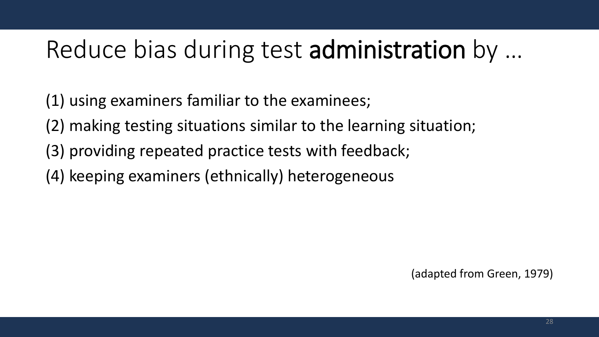### Reduce bias during test administration by …

- (1) using examiners familiar to the examinees;
- (2) making testing situations similar to the learning situation;
- (3) providing repeated practice tests with feedback;
- (4) keeping examiners (ethnically) heterogeneous

(adapted from Green, 1979)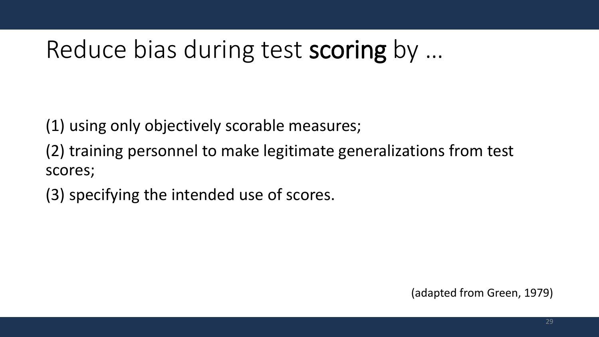### Reduce bias during test scoring by …

(1) using only objectively scorable measures;

(2) training personnel to make legitimate generalizations from test scores;

(3) specifying the intended use of scores.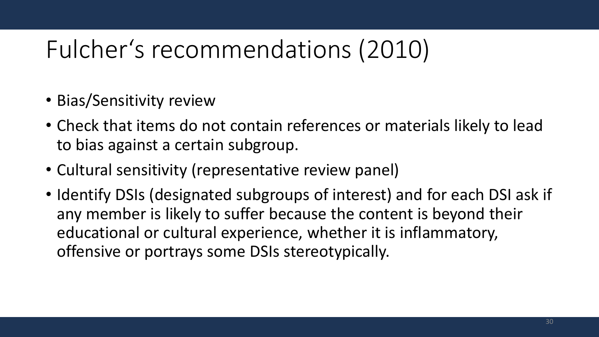### Fulcher's recommendations (2010)

- Bias/Sensitivity review
- Check that items do not contain references or materials likely to lead to bias against a certain subgroup.
- Cultural sensitivity (representative review panel)
- Identify DSIs (designated subgroups of interest) and for each DSI ask if any member is likely to suffer because the content is beyond their educational or cultural experience, whether it is inflammatory, offensive or portrays some DSIs stereotypically.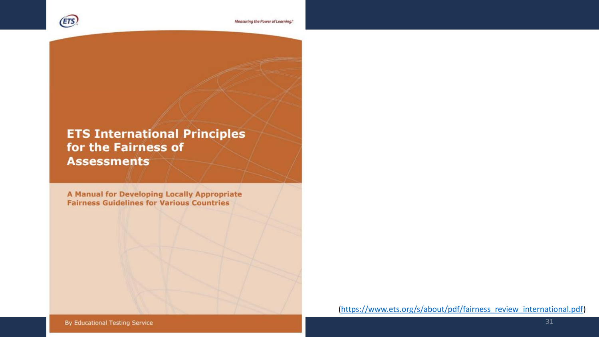

#### **ETS International Principles** for the Fairness of **Assessments**

A Manual for Developing Locally Appropriate **Fairness Guidelines for Various Countries** 

([https://www.ets.org/s/about/pdf/fairness\\_review\\_international.pdf\)](https://www.ets.org/s/about/pdf/fairness_review_international.pdf)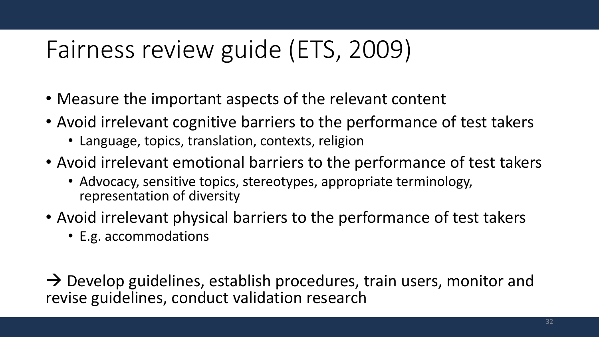- Measure the important aspects of the relevant content
- Avoid irrelevant cognitive barriers to the performance of test takers
	- Language, topics, translation, contexts, religion
- Avoid irrelevant emotional barriers to the performance of test takers
	- Advocacy, sensitive topics, stereotypes, appropriate terminology, representation of diversity
- Avoid irrelevant physical barriers to the performance of test takers
	- E.g. accommodations

 $\rightarrow$  Develop guidelines, establish procedures, train users, monitor and revise guidelines, conduct validation research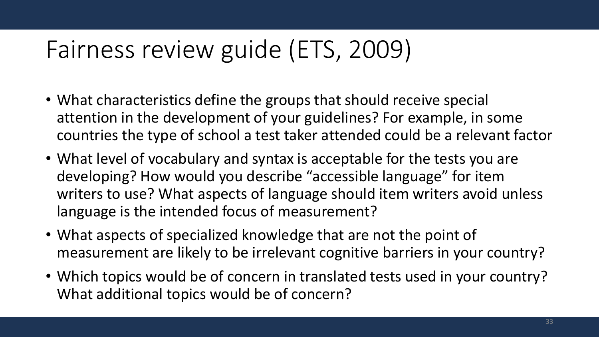- What characteristics define the groups that should receive special attention in the development of your guidelines? For example, in some countries the type of school a test taker attended could be a relevant factor
- What level of vocabulary and syntax is acceptable for the tests you are developing? How would you describe "accessible language" for item writers to use? What aspects of language should item writers avoid unless language is the intended focus of measurement?
- What aspects of specialized knowledge that are not the point of measurement are likely to be irrelevant cognitive barriers in your country?
- Which topics would be of concern in translated tests used in your country? What additional topics would be of concern?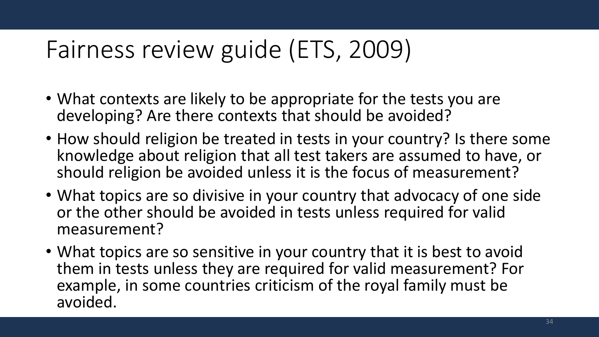- What contexts are likely to be appropriate for the tests you are developing? Are there contexts that should be avoided?
- How should religion be treated in tests in your country? Is there some knowledge about religion that all test takers are assumed to have, or should religion be avoided unless it is the focus of measurement?
- What topics are so divisive in your country that advocacy of one side or the other should be avoided in tests unless required for valid measurement?
- What topics are so sensitive in your country that it is best to avoid them in tests unless they are required for valid measurement? For example, in some countries criticism of the royal family must be avoided.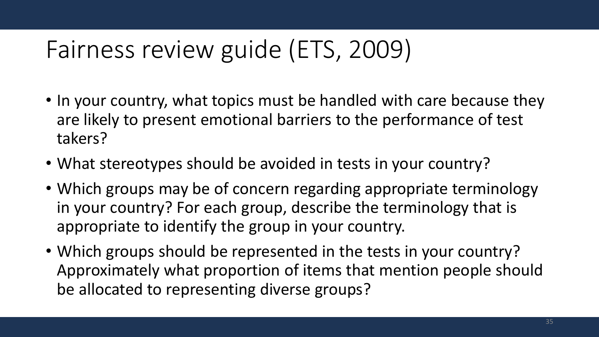- In your country, what topics must be handled with care because they are likely to present emotional barriers to the performance of test takers?
- What stereotypes should be avoided in tests in your country?
- Which groups may be of concern regarding appropriate terminology in your country? For each group, describe the terminology that is appropriate to identify the group in your country.
- Which groups should be represented in the tests in your country? Approximately what proportion of items that mention people should be allocated to representing diverse groups?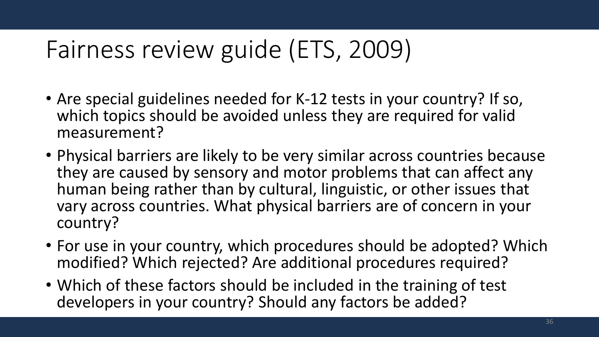- Are special guidelines needed for K-12 tests in your country? If so, which topics should be avoided unless they are required for valid measurement?
- Physical barriers are likely to be very similar across countries because they are caused by sensory and motor problems that can affect any human being rather than by cultural, linguistic, or other issues that vary across countries. What physical barriers are of concern in your country?
- For use in your country, which procedures should be adopted? Which modified? Which rejected? Are additional procedures required?
- Which of these factors should be included in the training of test developers in your country? Should any factors be added?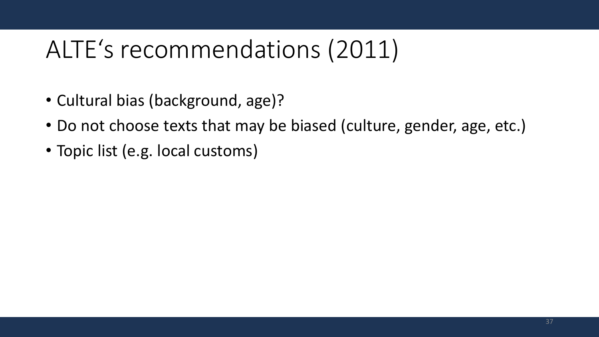### ALTE's recommendations (2011)

- Cultural bias (background, age)?
- Do not choose texts that may be biased (culture, gender, age, etc.)
- Topic list (e.g. local customs)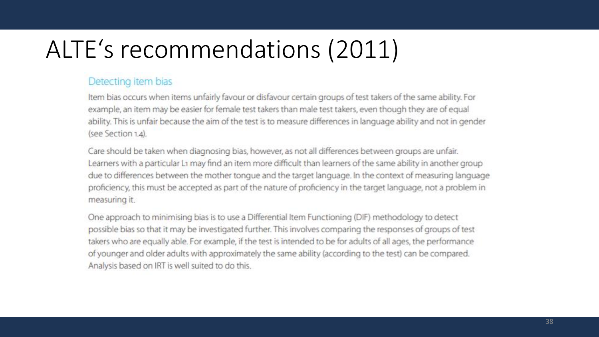### ALTE's recommendations (2011)

#### Detecting item bias

Item bias occurs when items unfairly favour or disfavour certain groups of test takers of the same ability. For example, an item may be easier for female test takers than male test takers, even though they are of equal ability. This is unfair because the aim of the test is to measure differences in language ability and not in gender (see Section 1.4).

Care should be taken when diagnosing bias, however, as not all differences between groups are unfair. Learners with a particular L1 may find an item more difficult than learners of the same ability in another group due to differences between the mother tonque and the target language. In the context of measuring language proficiency, this must be accepted as part of the nature of proficiency in the target language, not a problem in measuring it.

One approach to minimising bias is to use a Differential Item Functioning (DIF) methodology to detect possible bias so that it may be investigated further. This involves comparing the responses of groups of test takers who are equally able. For example, if the test is intended to be for adults of all ages, the performance of younger and older adults with approximately the same ability (according to the test) can be compared. Analysis based on IRT is well suited to do this.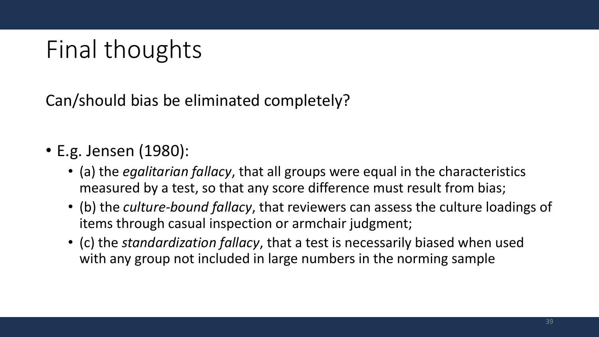## Final thoughts

Can/should bias be eliminated completely?

- E.g. Jensen (1980):
	- (a) the *egalitarian fallacy*, that all groups were equal in the characteristics measured by a test, so that any score difference must result from bias;
	- (b) the *culture‐bound fallacy*, that reviewers can assess the culture loadings of items through casual inspection or armchair judgment;
	- (c) the *standardization fallacy*, that a test is necessarily biased when used with any group not included in large numbers in the norming sample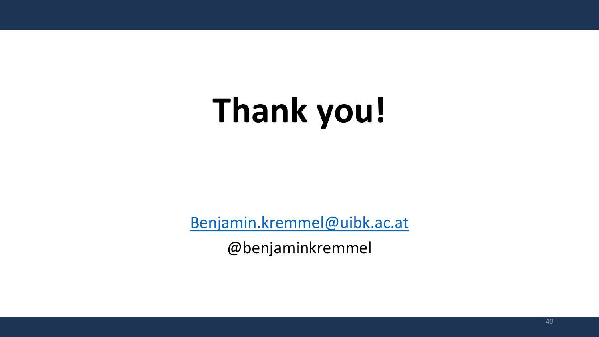# **Thank you!**

[Benjamin.kremmel@uibk.ac.at](mailto:Benjamin.kremmel@uibk.ac.at)

@benjaminkremmel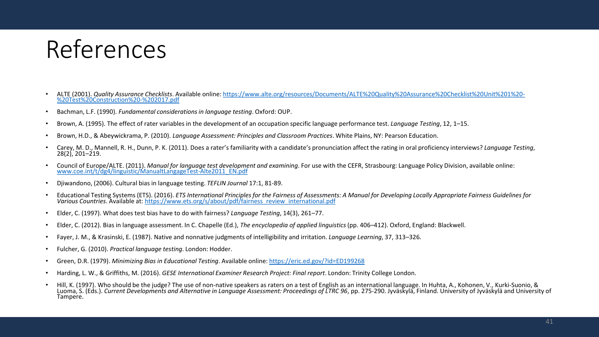### References

- ALTE (2001). *Quality Assurance Checklists*[. Available online: https://www.alte.org/resources/Documents/ALTE%20Quality%20Assurance%20Checklist%20Unit%201%20-](https://www.alte.org/resources/Documents/ALTE%20Quality%20Assurance%20Checklist%20Unit%201%20-%20Test%20Construction%20-%202017.pdf) %20Test%20Construction%20-%202017.pdf
- Bachman, L.F. (1990). *Fundamental considerations in language testing*. Oxford: OUP.
- Brown, A. (1995). The effect of rater variables in the development of an occupation specific language performance test. *Language Testing*, 12, 1–15.
- Brown, H.D., & Abeywickrama, P. (2010). *Language Assessment: Principles and Classroom Practices*. White Plains, NY: Pearson Education.
- Carey, M. D., Mannell, R. H., Dunn, P. K. (2011). Does a rater's familiarity with a candidate's pronunciation affect the rating in oral proficiency interviews? *Language Testing*,  $28(2)$ , 201–219.
- Council of Europe/ALTE. (2011). *Manual for language test development and examining*. For use with the CEFR, Strasbourg: Language Policy Division, available online: [www.coe.int/t/dg4/linguistic/ManualtLangageTest-Alte2011\\_EN.pdf](http://www.coe.int/t/dg4/linguistic/ManualtLangageTest-Alte2011_EN.pdf)
- Djiwandono, (2006). Cultural bias in language testing. *TEFLIN Journal* 17:1, 81-89.
- Educational Testing Systems (ETS). (2016). *ETS International Principles for the Fairness of Assessments: A Manual for Developing Locally Appropriate Fairness Guidelines for Various Countries*. Available at: [https://www.ets.org/s/about/pdf/fairness\\_review\\_international.pdf](https://www.ets.org/s/about/pdf/fairness_review_international.pdf)
- Elder, C. (1997). What does test bias have to do with fairness? *Language Testing*, 14(3), 261–77.
- Elder, C. (2012). Bias in language assessment. In C. Chapelle (Ed.), *The encyclopedia of applied linguistics* (pp. 406–412). Oxford, England: Blackwell.
- Fayer, J. M., & Krasinski, E. (1987). Native and nonnative judgments of intelligibility and irritation. *Language Learning*, 37, 313–326.
- Fulcher, G. (2010). *Practical language testing*. London: Hodder.
- Green, D.R. (1979). *Minimizing Bias in Educational Testing*. Available online:<https://eric.ed.gov/?id=ED199268>
- Harding, L. W., & Griffiths, M. (2016). *GESE International Examiner Research Project: Final report*. London: Trinity College London.
- Hill, K. (1997). Who should be the judge? The use of non-native speakers as raters on a test of English as an international language. In Huhta, A., Kohonen, V., Kurki-Suonio, & Luoma, S. (Eds.). *Current Developments and Alternative in Language Assessment: Proceedings of LTRC 96*, pp. 275-290. Jyväskylä, Finland. University of Jyväskylä and University of Tampere.